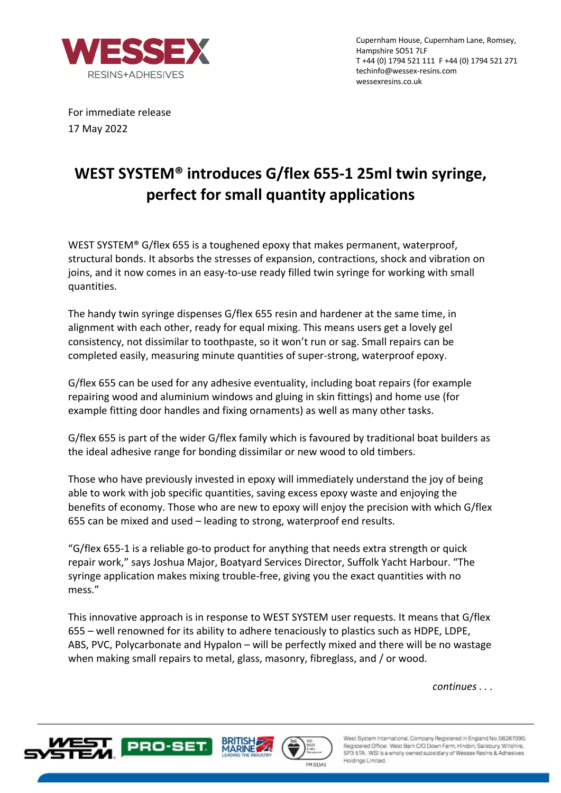

Cupernham House, Cupernham Lane, Romsey, Hampshire SO51 7LF T +44 (0) 1794 521 111 F +44 (0) 1794 521 271 techinfo@wessex-resins.com wessexresins.co.uk

For immediate release 17 May 2022

## **WEST SYSTEM® introduces G/flex 655-1 25ml twin syringe, perfect for small quantity applications**

WEST SYSTEM® G/flex 655 is a toughened epoxy that makes permanent, waterproof, structural bonds. It absorbs the stresses of expansion, contractions, shock and vibration on joins, and it now comes in an easy-to-use ready filled twin syringe for working with small quantities.

The handy twin syringe dispenses G/flex 655 resin and hardener at the same time, in alignment with each other, ready for equal mixing. This means users get a lovely gel consistency, not dissimilar to toothpaste, so it won't run or sag. Small repairs can be completed easily, measuring minute quantities of super-strong, waterproof epoxy.

G/flex 655 can be used for any adhesive eventuality, including boat repairs (for example repairing wood and aluminium windows and gluing in skin fittings) and home use (for example fitting door handles and fixing ornaments) as well as many other tasks.

G/flex 655 is part of the wider G/flex family which is favoured by traditional boat builders as the ideal adhesive range for bonding dissimilar or new wood to old timbers.

Those who have previously invested in epoxy will immediately understand the joy of being able to work with job specific quantities, saving excess epoxy waste and enjoying the benefits of economy. Those who are new to epoxy will enjoy the precision with which G/flex 655 can be mixed and used – leading to strong, waterproof end results.

"G/flex 655-1 is a reliable go-to product for anything that needs extra strength or quick repair work," says Joshua Major, Boatyard Services Director, Suffolk Yacht Harbour. "The syringe application makes mixing trouble-free, giving you the exact quantities with no mess."

This innovative approach is in response to WEST SYSTEM user requests. It means that G/flex 655 – well renowned for its ability to adhere tenaciously to plastics such as HDPE, LDPE, ABS, PVC, Polycarbonate and Hypalon – will be perfectly mixed and there will be no wastage when making small repairs to metal, glass, masonry, fibreglass, and / or wood.

*continues . . .* 







West System International, Company Registered in England No: 08287090. Registered Office: West Barn C/O Down Farm, Hindon, Salisbury, Wiltshire, SP3 5TA. WSI is a wholly owned subsidiary of Wessex Resins & Adhesives Holdings Limited.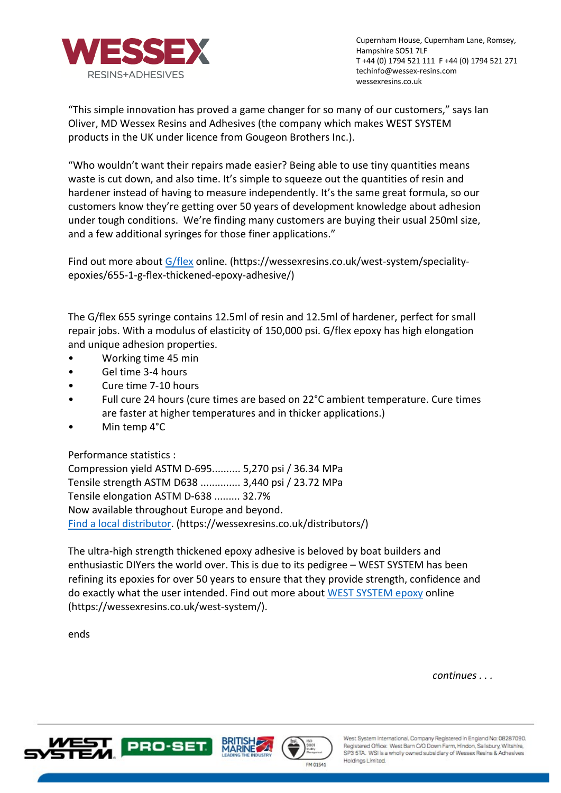

Cupernham House, Cupernham Lane, Romsey, Hampshire SO51 7LF T +44 (0) 1794 521 111 F +44 (0) 1794 521 271 techinfo@wessex-resins.com wessexresins.co.uk

"This simple innovation has proved a game changer for so many of our customers," says Ian Oliver, MD Wessex Resins and Adhesives (the company which makes WEST SYSTEM products in the UK under licence from Gougeon Brothers Inc.).

"Who wouldn't want their repairs made easier? Being able to use tiny quantities means waste is cut down, and also time. It's simple to squeeze out the quantities of resin and hardener instead of having to measure independently. It's the same great formula, so our customers know they're getting over 50 years of development knowledge about adhesion under tough conditions. We're finding many customers are buying their usual 250ml size, and a few additional syringes for those finer applications."

Find out more about G/flex online. (https://wessexresins.co.uk/west-system/specialityepoxies/655-1-g-flex-thickened-epoxy-adhesive/)

The G/flex 655 syringe contains 12.5ml of resin and 12.5ml of hardener, perfect for small repair jobs. With a modulus of elasticity of 150,000 psi. G/flex epoxy has high elongation and unique adhesion properties.

- Working time 45 min
- Gel time 3-4 hours
- Cure time 7-10 hours
- Full cure 24 hours (cure times are based on 22°C ambient temperature. Cure times are faster at higher temperatures and in thicker applications.)
- Min temp 4°C

Performance statistics :

Compression yield ASTM D-695.......... 5,270 psi / 36.34 MPa Tensile strength ASTM D638 .............. 3,440 psi / 23.72 MPa Tensile elongation ASTM D-638 ......... 32.7% Now available throughout Europe and beyond. Find a local distributor. (https://wessexresins.co.uk/distributors/)

The ultra-high strength thickened epoxy adhesive is beloved by boat builders and enthusiastic DIYers the world over. This is due to its pedigree – WEST SYSTEM has been refining its epoxies for over 50 years to ensure that they provide strength, confidence and do exactly what the user intended. Find out more about WEST SYSTEM epoxy online (https://wessexresins.co.uk/west-system/).

ends

*continues . . .* 







West System International, Company Registered in England No: 08287090. Registered Office: West Barn C/O Down Farm, Hindon, Salisbury, Wiltshire, SP3 5TA. WSI is a wholly owned subsidiary of Wessex Resins & Adhesives Holdings Limited.